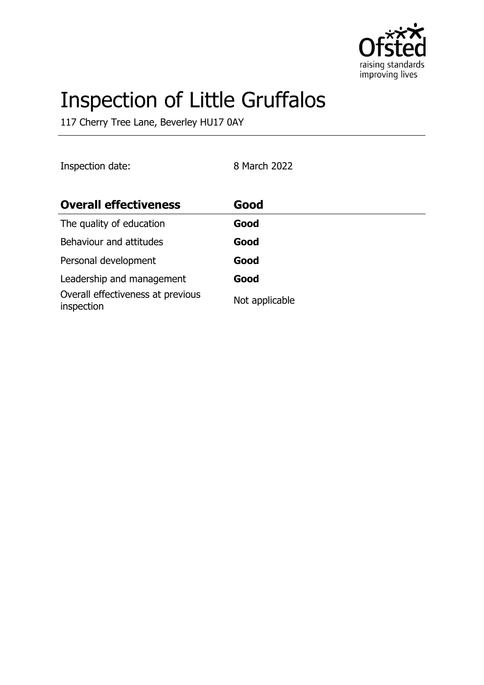

# Inspection of Little Gruffalos

117 Cherry Tree Lane, Beverley HU17 0AY

| Inspection date:                                | 8 March 2022   |
|-------------------------------------------------|----------------|
| <b>Overall effectiveness</b>                    | Good           |
| The quality of education                        | Good           |
| Behaviour and attitudes                         | Good           |
| Personal development                            | Good           |
| Leadership and management                       | Good           |
| Overall effectiveness at previous<br>inspection | Not applicable |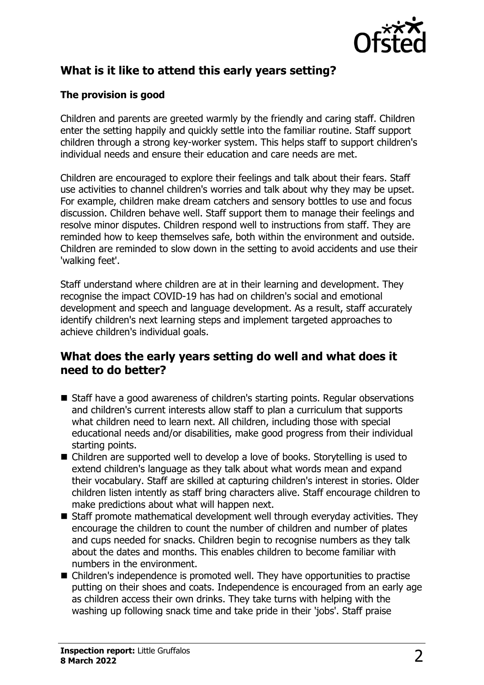

# **What is it like to attend this early years setting?**

## **The provision is good**

Children and parents are greeted warmly by the friendly and caring staff. Children enter the setting happily and quickly settle into the familiar routine. Staff support children through a strong key-worker system. This helps staff to support children's individual needs and ensure their education and care needs are met.

Children are encouraged to explore their feelings and talk about their fears. Staff use activities to channel children's worries and talk about why they may be upset. For example, children make dream catchers and sensory bottles to use and focus discussion. Children behave well. Staff support them to manage their feelings and resolve minor disputes. Children respond well to instructions from staff. They are reminded how to keep themselves safe, both within the environment and outside. Children are reminded to slow down in the setting to avoid accidents and use their 'walking feet'.

Staff understand where children are at in their learning and development. They recognise the impact COVID-19 has had on children's social and emotional development and speech and language development. As a result, staff accurately identify children's next learning steps and implement targeted approaches to achieve children's individual goals.

## **What does the early years setting do well and what does it need to do better?**

- Staff have a good awareness of children's starting points. Regular observations and children's current interests allow staff to plan a curriculum that supports what children need to learn next. All children, including those with special educational needs and/or disabilities, make good progress from their individual starting points.
- Children are supported well to develop a love of books. Storytelling is used to extend children's language as they talk about what words mean and expand their vocabulary. Staff are skilled at capturing children's interest in stories. Older children listen intently as staff bring characters alive. Staff encourage children to make predictions about what will happen next.
- $\blacksquare$  Staff promote mathematical development well through everyday activities. They encourage the children to count the number of children and number of plates and cups needed for snacks. Children begin to recognise numbers as they talk about the dates and months. This enables children to become familiar with numbers in the environment.
- $\blacksquare$  Children's independence is promoted well. They have opportunities to practise putting on their shoes and coats. Independence is encouraged from an early age as children access their own drinks. They take turns with helping with the washing up following snack time and take pride in their 'jobs'. Staff praise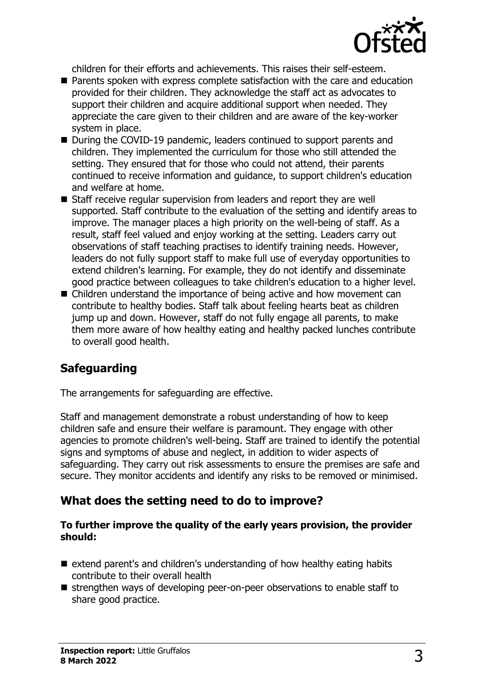

children for their efforts and achievements. This raises their self-esteem.

- $\blacksquare$  Parents spoken with express complete satisfaction with the care and education provided for their children. They acknowledge the staff act as advocates to support their children and acquire additional support when needed. They appreciate the care given to their children and are aware of the key-worker system in place.
- During the COVID-19 pandemic, leaders continued to support parents and children. They implemented the curriculum for those who still attended the setting. They ensured that for those who could not attend, their parents continued to receive information and guidance, to support children's education and welfare at home.
- $\blacksquare$  Staff receive regular supervision from leaders and report they are well supported. Staff contribute to the evaluation of the setting and identify areas to improve. The manager places a high priority on the well-being of staff. As a result, staff feel valued and enjoy working at the setting. Leaders carry out observations of staff teaching practises to identify training needs. However, leaders do not fully support staff to make full use of everyday opportunities to extend children's learning. For example, they do not identify and disseminate good practice between colleagues to take children's education to a higher level.
- $\blacksquare$  Children understand the importance of being active and how movement can contribute to healthy bodies. Staff talk about feeling hearts beat as children jump up and down. However, staff do not fully engage all parents, to make them more aware of how healthy eating and healthy packed lunches contribute to overall good health.

## **Safeguarding**

The arrangements for safeguarding are effective.

Staff and management demonstrate a robust understanding of how to keep children safe and ensure their welfare is paramount. They engage with other agencies to promote children's well-being. Staff are trained to identify the potential signs and symptoms of abuse and neglect, in addition to wider aspects of safeguarding. They carry out risk assessments to ensure the premises are safe and secure. They monitor accidents and identify any risks to be removed or minimised.

## **What does the setting need to do to improve?**

#### **To further improve the quality of the early years provision, the provider should:**

- $\blacksquare$  extend parent's and children's understanding of how healthy eating habits contribute to their overall health
- $\blacksquare$  strengthen ways of developing peer-on-peer observations to enable staff to share good practice.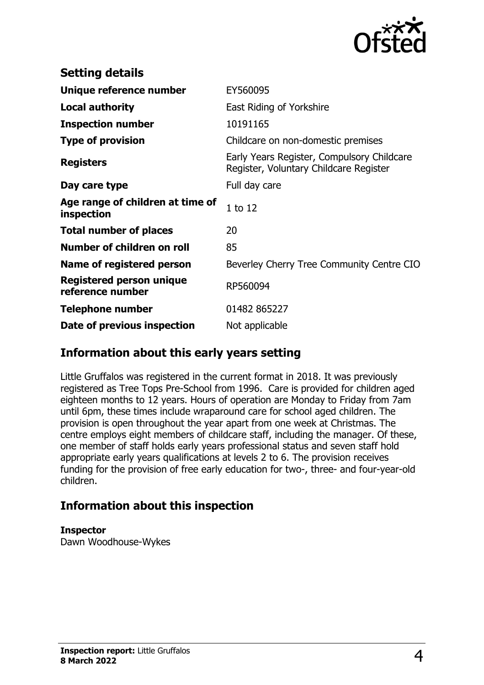

| <b>Setting details</b>                              |                                                                                      |
|-----------------------------------------------------|--------------------------------------------------------------------------------------|
| Unique reference number                             | EY560095                                                                             |
| <b>Local authority</b>                              | East Riding of Yorkshire                                                             |
| <b>Inspection number</b>                            | 10191165                                                                             |
| <b>Type of provision</b>                            | Childcare on non-domestic premises                                                   |
| <b>Registers</b>                                    | Early Years Register, Compulsory Childcare<br>Register, Voluntary Childcare Register |
| Day care type                                       | Full day care                                                                        |
| Age range of children at time of<br>inspection      | $1$ to $12$                                                                          |
| <b>Total number of places</b>                       | 20                                                                                   |
| Number of children on roll                          | 85                                                                                   |
| Name of registered person                           | Beverley Cherry Tree Community Centre CIO                                            |
| <b>Registered person unique</b><br>reference number | RP560094                                                                             |
| <b>Telephone number</b>                             | 01482 865227                                                                         |
| Date of previous inspection                         | Not applicable                                                                       |

## **Information about this early years setting**

Little Gruffalos was registered in the current format in 2018. It was previously registered as Tree Tops Pre-School from 1996. Care is provided for children aged eighteen months to 12 years. Hours of operation are Monday to Friday from 7am until 6pm, these times include wraparound care for school aged children. The provision is open throughout the year apart from one week at Christmas. The centre employs eight members of childcare staff, including the manager. Of these, one member of staff holds early years professional status and seven staff hold appropriate early years qualifications at levels 2 to 6. The provision receives funding for the provision of free early education for two-, three- and four-year-old children.

## **Information about this inspection**

#### **Inspector**

Dawn Woodhouse-Wykes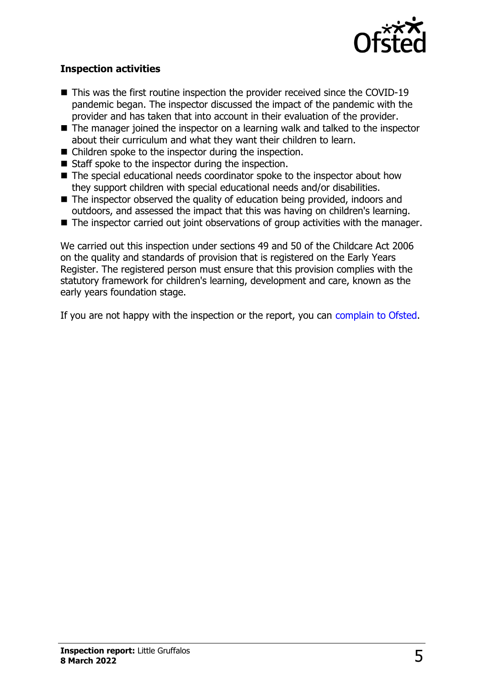

### **Inspection activities**

- $\blacksquare$  This was the first routine inspection the provider received since the COVID-19 pandemic began. The inspector discussed the impact of the pandemic with the provider and has taken that into account in their evaluation of the provider.
- $\blacksquare$  The manager joined the inspector on a learning walk and talked to the inspector about their curriculum and what they want their children to learn.
- $\blacksquare$  Children spoke to the inspector during the inspection.
- $\blacksquare$  Staff spoke to the inspector during the inspection.
- $\blacksquare$  The special educational needs coordinator spoke to the inspector about how they support children with special educational needs and/or disabilities.
- $\blacksquare$  The inspector observed the quality of education being provided, indoors and outdoors, and assessed the impact that this was having on children's learning.
- $\blacksquare$  The inspector carried out joint observations of group activities with the manager.

We carried out this inspection under sections 49 and 50 of the Childcare Act 2006 on the quality and standards of provision that is registered on the Early Years Register. The registered person must ensure that this provision complies with the statutory framework for children's learning, development and care, known as the early years foundation stage.

If you are not happy with the inspection or the report, you can [complain to Ofsted](http://www.gov.uk/complain-ofsted-report).